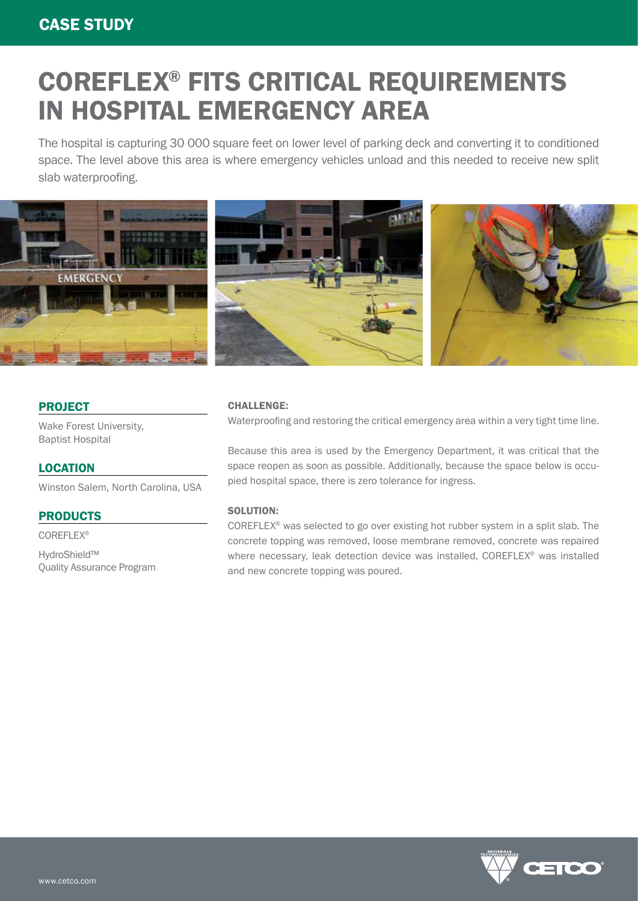# COREFLEX® FITS CRITICAL REQUIREMENTS IN HOSPITAL EMERGENCY AREA

The hospital is capturing 30 000 square feet on lower level of parking deck and converting it to conditioned space. The level above this area is where emergency vehicles unload and this needed to receive new split slab waterproofing.



### PROJECT

Wake Forest University, Baptist Hospital

#### **LOCATION**

Winston Salem, North Carolina, USA

## PRODUCTS

COREFLEX®

HydroShield™ Quality Assurance Program

#### CHALLENGE:

Waterproofing and restoring the critical emergency area within a very tight time line.

Because this area is used by the Emergency Department, it was critical that the space reopen as soon as possible. Additionally, because the space below is occupied hospital space, there is zero tolerance for ingress.

#### SOLUTION:

COREFLEX® was selected to go over existing hot rubber system in a split slab. The concrete topping was removed, loose membrane removed, concrete was repaired where necessary, leak detection device was installed, COREFLEX® was installed and new concrete topping was poured.